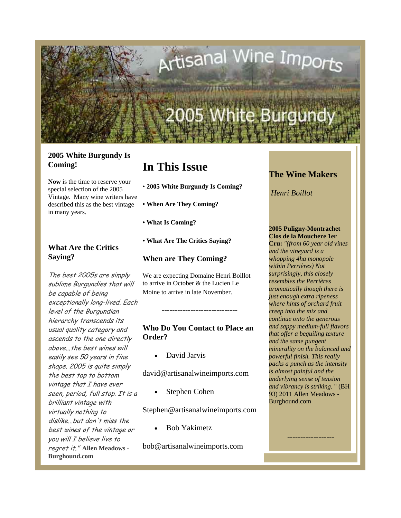

### **2005 White Burgundy Is Coming!**

**Now** is the time to reserve your special selection of the 2005 Vintage. Many wine writers have described this as the best vintage in many years.

### **What Are the Critics Saying?**

The best 2005s are simply sublime Burgundies that will be capable of being exceptionally long-lived. Each level of the Burgundian hierarchy transcends its usual quality category and ascends to the one directly above...the best wines will easily see 50 years in fine shape. 2005 is quite simply the best top to bottom vintage that I have ever seen, period, full stop. It is a brilliant vintage with virtually nothing to dislike...but don't miss the best wines of the vintage or you will I believe live to regret it." **Allen Meadows - Burghound.com**

# **In This Issue**

- **2005 White Burgundy Is Coming?**
- **When Are They Coming?**
- **What Is Coming?**
- **What Are The Critics Saying?**

**When are They Coming?**

We are expecting Domaine Henri Boillot to arrive in October & the Lucien Le Moine to arrive in late November.

### **Who Do You Contact to Place an Order?**

**-----------------------------**

• David Jarvis

david@artisanalwineimports.com

Stephen Cohen

Stephen@artisanalwineimports.com

• Bob Yakimetz

bob@artisanalwineimports.com

# **The Wine Makers**

*Henri Boillot*

### **2005 Puligny-Montrachet**

**Clos de la Mouchere 1er Cru:** *"(from 60 year old vines and the vineyard is a whopping 4ha monopole within Perrières) Not surprisingly, this closely resembles the Perrières aromatically though there is just enough extra ripeness where hints of orchard fruit creep into the mix and continue onto the generous and sappy medium-full flavors that offer a beguiling texture and the same pungent minerality on the balanced and powerful finish. This really packs a punch as the intensity is almost painful and the underlying sense of tension and vibrancy is striking.* " (BH 93) 2011 Allen Meadows - Burghound.com

------------------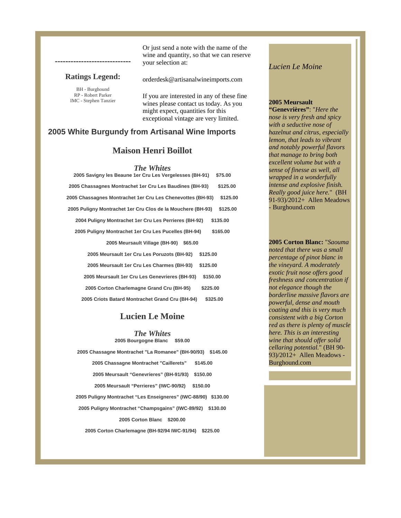#### **Ratings Legend:**

**-----------------------------**

BH - Burghound RP - Robert Parker IMC - Stephen Tanzier Or just send a note with the name of the wine and quantity, so that we can reserve your selection at:

orderdesk@artisanalwineimports.com

If you are interested in any of these fine wines please contact us today. As you might expect, quantities for this exceptional vintage are very limited.

### **2005 White Burgundy from Artisanal Wine Imports**

### **Maison Henri Boillot**

*The Whites*

| 2005 Savigny les Beaune 1er Cru Les Vergelesses (BH-91)     | \$75.00  |
|-------------------------------------------------------------|----------|
| 2005 Chassagnes Montrachet 1er Cru Les Baudines (BH-93)     | \$125.00 |
| 2005 Chassagnes Montrachet 1er Cru Les Chenevottes (BH-93)  | \$125.00 |
| 2005 Puligny Montrachet 1er Cru Clos de la Mouchere (BH-93) | \$125.00 |
| 2004 Puligny Montrachet 1er Cru Les Perrieres (BH-92)       | \$135.00 |
| 2005 Puligny Montrachet 1er Cru Les Pucelles (BH-94)        | \$165.00 |
| 2005 Meursault Village (BH-90)<br>\$65.00                   |          |
| 2005 Meursault 1er Cru Les Poruzots (BH-92)                 | \$125.00 |
| 2005 Meursault 1er Cru Les Charmes (BH-93)                  | \$125.00 |
| 2005 Meursault 1er Cru Les Genevrieres (BH-93)              | \$150.00 |
| 2005 Corton Charlemagne Grand Cru (BH-95)                   | \$225.00 |
| 2005 Criots Batard Montrachet Grand Cru (BH-94)             | \$325.00 |

### **Lucien Le Moine**

*The Whites* **2005 Bourgogne Blanc \$59.00** 

**2005 Chassagne Montrachet "La Romanee" (BH-90/93) \$145.00 2005 Chassagne Montrachet "Caillerets" \$145.00 2005 Meursault "Genevrieres" (BH-91/93) \$150.00 2005 Meursault "Perrieres" (IWC-90/92) \$150.00 2005 Puligny Montrachet "Les Enseigneres" (IWC-88/90) \$130.00 2005 Puligny Montrachet "Champsgains" (IWC-89/92) \$130.00 2005 Corton Blanc \$200.00 2005 Corton Charlemagne (BH-92/94 IWC-91/94) \$225.00**

#### *Lucien Le Moine*

#### **2005 Meursault**

**"Genevrières"**: "*Here the nose is very fresh and spicy with a seductive nose of hazelnut and citrus, especially lemon, that leads to vibrant and notably powerful flavors that manage to bring both excellent volume but with a sense of finesse as well, all wrapped in a wonderfully intense and explosive finish. Really good juice here.*" (BH 91-93)/2012+ Allen Meadows - Burghound.com

**2005 Corton Blanc:** "*Saouma noted that there was a small percentage of pinot blanc in the vineyard. A moderately exotic fruit nose offers good freshness and concentration if not elegance though the borderline massive flavors are powerful, dense and mouth coating and this is very much consistent with a big Corton red as there is plenty of muscle here. This is an interesting wine that should offer solid cellaring potential.*" (BH 90- 93)/2012+ Allen Meadows - Burghound.com